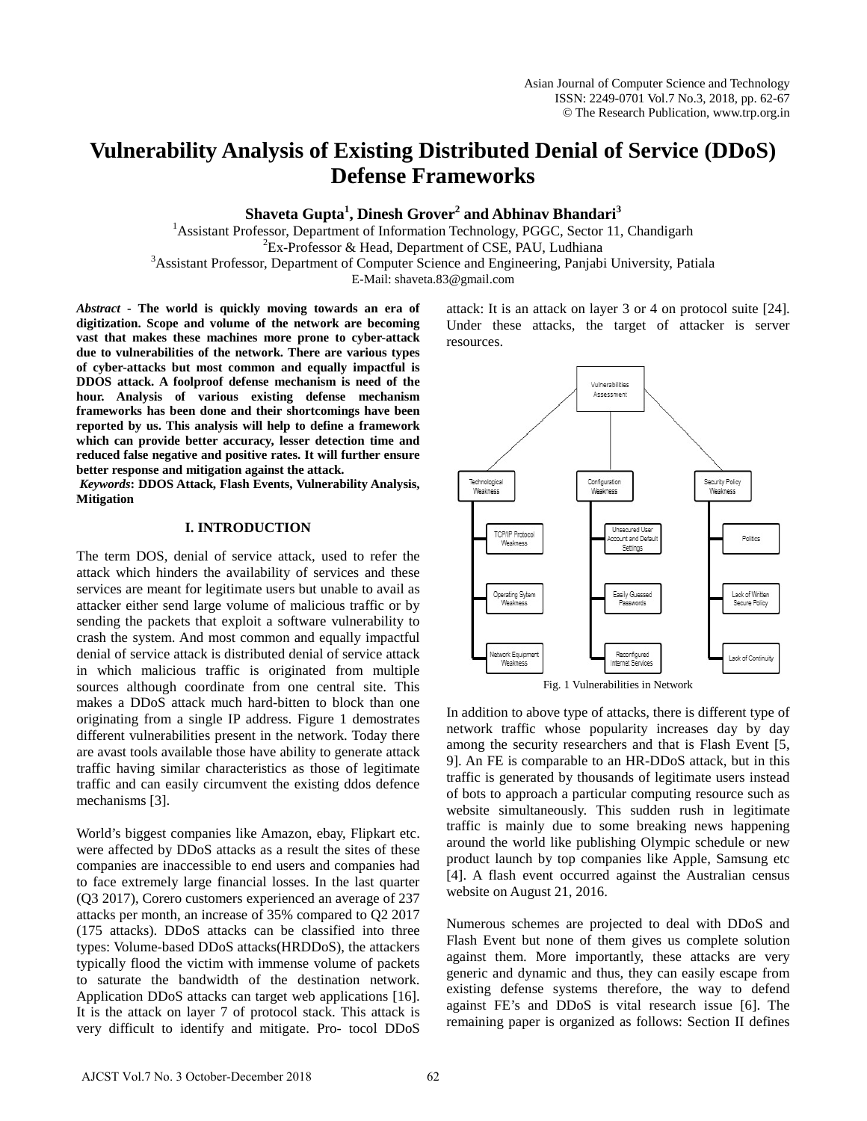# **Vulnerability Analysis of Existing Distributed Denial of Service (DDoS) Defense Frameworks**

**Shaveta Gupta<sup>1</sup> , Dinesh Grover<sup>2</sup> and Abhinav Bhandari<sup>3</sup>**

<sup>1</sup> Assistant Professor, Department of Information Technology, PGGC, Sector 11, Chandigarh <sup>2</sup>E<sub>E</sub>, Professor & Head, Department of CSE, PALL Indhiana  ${}^{2}Ex$ -Professor & Head, Department of CSE, PAU, Ludhiana <sup>3</sup> Assistant Professor, Department of Computer Science and Engineering, Panjabi University, Patiala E-Mail: shaveta.83@gmail.com

*Abstract* **- The world is quickly moving towards an era of digitization. Scope and volume of the network are becoming vast that makes these machines more prone to cyber-attack due to vulnerabilities of the network. There are various types of cyber-attacks but most common and equally impactful is DDOS attack. A foolproof defense mechanism is need of the hour. Analysis of various existing defense mechanism frameworks has been done and their shortcomings have been reported by us. This analysis will help to define a framework which can provide better accuracy, lesser detection time and reduced false negative and positive rates. It will further ensure better response and mitigation against the attack.**

*Keywords***: DDOS Attack, Flash Events, Vulnerability Analysis, Mitigation**

### **I. INTRODUCTION**

The term DOS, denial of service attack, used to refer the attack which hinders the availability of services and these services are meant for legitimate users but unable to avail as attacker either send large volume of malicious traffic or by sending the packets that exploit a software vulnerability to crash the system. And most common and equally impactful denial of service attack is distributed denial of service attack in which malicious traffic is originated from multiple sources although coordinate from one central site. This makes a DDoS attack much hard-bitten to block than one originating from a single IP address. Figure 1 demostrates different vulnerabilities present in the network. Today there are avast tools available those have ability to generate attack traffic having similar characteristics as those of legitimate traffic and can easily circumvent the existing ddos defence mechanisms [3].

World's biggest companies like Amazon, ebay, Flipkart etc. were affected by DDoS attacks as a result the sites of these companies are inaccessible to end users and companies had to face extremely large financial losses. In the last quarter (Q3 2017), Corero customers experienced an average of 237 attacks per month, an increase of 35% compared to Q2 2017 (175 attacks). DDoS attacks can be classified into three types: Volume-based DDoS attacks(HRDDoS), the attackers typically flood the victim with immense volume of packets to saturate the bandwidth of the destination network. Application DDoS attacks can target web applications [16]. It is the attack on layer 7 of protocol stack. This attack is very difficult to identify and mitigate. Pro- tocol DDoS

attack: It is an attack on layer 3 or 4 on protocol suite [24]. Under these attacks, the target of attacker is server resources.



In addition to above type of attacks, there is different type of network traffic whose popularity increases day by day among the security researchers and that is Flash Event [5, 9]. An FE is comparable to an HR-DDoS attack, but in this traffic is generated by thousands of legitimate users instead of bots to approach a particular computing resource such as website simultaneously. This sudden rush in legitimate traffic is mainly due to some breaking news happening around the world like publishing Olympic schedule or new product launch by top companies like Apple, Samsung etc [4]. A flash event occurred against the Australian census website on August 21, 2016.

Numerous schemes are projected to deal with DDoS and Flash Event but none of them gives us complete solution against them. More importantly, these attacks are very generic and dynamic and thus, they can easily escape from existing defense systems therefore, the way to defend against FE's and DDoS is vital research issue [6]. The remaining paper is organized as follows: Section II defines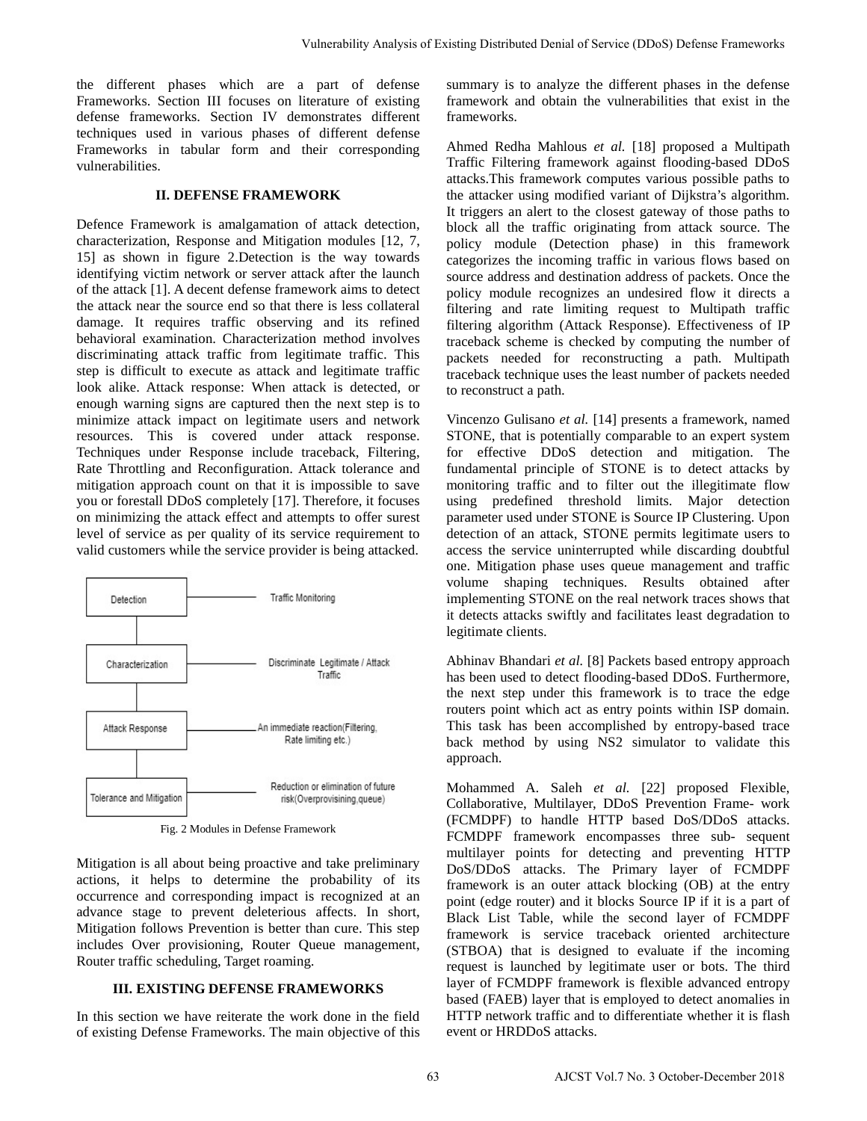the different phases which are a part of defense Frameworks. Section III focuses on literature of existing defense frameworks. Section IV demonstrates different techniques used in various phases of different defense Frameworks in tabular form and their corresponding vulnerabilities.

## **II. DEFENSE FRAMEWORK**

Defence Framework is amalgamation of attack detection, characterization, Response and Mitigation modules [12, 7, 15] as shown in figure 2.Detection is the way towards identifying victim network or server attack after the launch of the attack [1]. A decent defense framework aims to detect the attack near the source end so that there is less collateral damage. It requires traffic observing and its refined behavioral examination. Characterization method involves discriminating attack traffic from legitimate traffic. This step is difficult to execute as attack and legitimate traffic look alike. Attack response: When attack is detected, or enough warning signs are captured then the next step is to minimize attack impact on legitimate users and network resources. This is covered under attack response. Techniques under Response include traceback, Filtering, Rate Throttling and Reconfiguration. Attack tolerance and mitigation approach count on that it is impossible to save you or forestall DDoS completely [17]. Therefore, it focuses on minimizing the attack effect and attempts to offer surest level of service as per quality of its service requirement to valid customers while the service provider is being attacked.



Fig. 2 Modules in Defense Framework

Mitigation is all about being proactive and take preliminary actions, it helps to determine the probability of its occurrence and corresponding impact is recognized at an advance stage to prevent deleterious affects. In short, Mitigation follows Prevention is better than cure. This step includes Over provisioning, Router Queue management, Router traffic scheduling, Target roaming.

## **III. EXISTING DEFENSE FRAMEWORKS**

In this section we have reiterate the work done in the field of existing Defense Frameworks. The main objective of this

summary is to analyze the different phases in the defense framework and obtain the vulnerabilities that exist in the frameworks.

Ahmed Redha Mahlous *et al.* [18] proposed a Multipath Traffic Filtering framework against flooding-based DDoS attacks.This framework computes various possible paths to the attacker using modified variant of Dijkstra's algorithm. It triggers an alert to the closest gateway of those paths to block all the traffic originating from attack source. The policy module (Detection phase) in this framework categorizes the incoming traffic in various flows based on source address and destination address of packets. Once the policy module recognizes an undesired flow it directs a filtering and rate limiting request to Multipath traffic filtering algorithm (Attack Response). Effectiveness of IP traceback scheme is checked by computing the number of packets needed for reconstructing a path. Multipath traceback technique uses the least number of packets needed to reconstruct a path. Volumentality Amalysis of Existing Distributed Pasta of Service (DDoS) Peterse Framework<br>
tenture of electrons the measure is to unalyge the different places in the december<br>
measures of the control of the service of the

Vincenzo Gulisano *et al.* [14] presents a framework, named STONE, that is potentially comparable to an expert system for effective DDoS detection and mitigation. The fundamental principle of STONE is to detect attacks by monitoring traffic and to filter out the illegitimate flow using predefined threshold limits. Major detection parameter used under STONE is Source IP Clustering. Upon detection of an attack, STONE permits legitimate users to access the service uninterrupted while discarding doubtful one. Mitigation phase uses queue management and traffic volume shaping techniques. Results obtained after implementing STONE on the real network traces shows that it detects attacks swiftly and facilitates least degradation to legitimate clients.

Abhinav Bhandari *et al.* [8] Packets based entropy approach has been used to detect flooding-based DDoS. Furthermore, the next step under this framework is to trace the edge routers point which act as entry points within ISP domain. This task has been accomplished by entropy-based trace back method by using NS2 simulator to validate this approach.

Mohammed A. Saleh *et al.* [22] proposed Flexible, Collaborative, Multilayer, DDoS Prevention Frame- work (FCMDPF) to handle HTTP based DoS/DDoS attacks. FCMDPF framework encompasses three sub- sequent multilayer points for detecting and preventing HTTP DoS/DDoS attacks. The Primary layer of FCMDPF framework is an outer attack blocking (OB) at the entry point (edge router) and it blocks Source IP if it is a part of Black List Table, while the second layer of FCMDPF framework is service traceback oriented architecture (STBOA) that is designed to evaluate if the incoming request is launched by legitimate user or bots. The third layer of FCMDPF framework is flexible advanced entropy based (FAEB) layer that is employed to detect anomalies in HTTP network traffic and to differentiate whether it is flash event or HRDDoS attacks.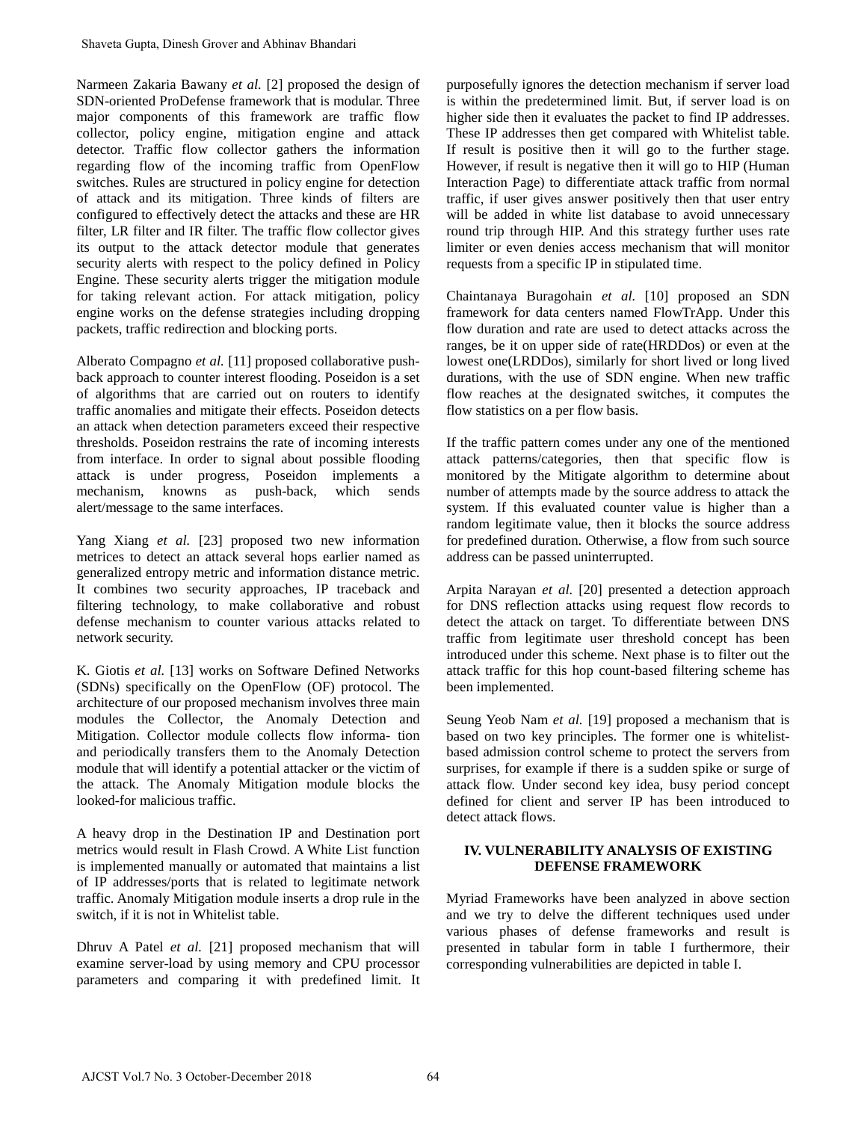Narmeen Zakaria Bawany *et al.* [2] proposed the design of SDN-oriented ProDefense framework that is modular. Three major components of this framework are traffic flow collector, policy engine, mitigation engine and attack detector. Traffic flow collector gathers the information regarding flow of the incoming traffic from OpenFlow switches. Rules are structured in policy engine for detection of attack and its mitigation. Three kinds of filters are configured to effectively detect the attacks and these are HR filter, LR filter and IR filter. The traffic flow collector gives its output to the attack detector module that generates security alerts with respect to the policy defined in Policy Engine. These security alerts trigger the mitigation module for taking relevant action. For attack mitigation, policy engine works on the defense strategies including dropping packets, traffic redirection and blocking ports. Shaveta Gupta, Dinesh Grover and Abhinav Bhandari<br>
Sharenet Zekaria Bawany or al. (21) proposed the design of<br>
ShON-oriented ProDoffens: firm-work that is modular Three<br>
major connonents of this framework are tartific tho

Alberato Compagno *et al.* [11] proposed collaborative pushback approach to counter interest flooding. Poseidon is a set of algorithms that are carried out on routers to identify traffic anomalies and mitigate their effects. Poseidon detects an attack when detection parameters exceed their respective thresholds. Poseidon restrains the rate of incoming interests from interface. In order to signal about possible flooding attack is under progress, Poseidon implements a mechanism, knowns as push-back, which sends alert/message to the same interfaces.

Yang Xiang *et al.* [23] proposed two new information metrices to detect an attack several hops earlier named as generalized entropy metric and information distance metric. It combines two security approaches, IP traceback and filtering technology, to make collaborative and robust defense mechanism to counter various attacks related to network security.

K. Giotis *et al.* [13] works on Software Defined Networks (SDNs) specifically on the OpenFlow (OF) protocol. The architecture of our proposed mechanism involves three main modules the Collector, the Anomaly Detection and Mitigation. Collector module collects flow informa- tion and periodically transfers them to the Anomaly Detection module that will identify a potential attacker or the victim of the attack. The Anomaly Mitigation module blocks the looked-for malicious traffic.

A heavy drop in the Destination IP and Destination port metrics would result in Flash Crowd. A White List function is implemented manually or automated that maintains a list of IP addresses/ports that is related to legitimate network traffic. Anomaly Mitigation module inserts a drop rule in the switch, if it is not in Whitelist table.

Dhruv A Patel *et al.* [21] proposed mechanism that will examine server-load by using memory and CPU processor parameters and comparing it with predefined limit. It

purposefully ignores the detection mechanism if server load is within the predetermined limit. But, if server load is on higher side then it evaluates the packet to find IP addresses. These IP addresses then get compared with Whitelist table. If result is positive then it will go to the further stage. However, if result is negative then it will go to HIP (Human Interaction Page) to differentiate attack traffic from normal traffic, if user gives answer positively then that user entry will be added in white list database to avoid unnecessary round trip through HIP. And this strategy further uses rate limiter or even denies access mechanism that will monitor requests from a specific IP in stipulated time.

Chaintanaya Buragohain *et al.* [10] proposed an SDN framework for data centers named FlowTrApp. Under this flow duration and rate are used to detect attacks across the ranges, be it on upper side of rate(HRDDos) or even at the lowest one(LRDDos), similarly for short lived or long lived durations, with the use of SDN engine. When new traffic flow reaches at the designated switches, it computes the flow statistics on a per flow basis.

If the traffic pattern comes under any one of the mentioned attack patterns/categories, then that specific flow is monitored by the Mitigate algorithm to determine about number of attempts made by the source address to attack the system. If this evaluated counter value is higher than a random legitimate value, then it blocks the source address for predefined duration. Otherwise, a flow from such source address can be passed uninterrupted.

Arpita Narayan *et al.* [20] presented a detection approach for DNS reflection attacks using request flow records to detect the attack on target. To differentiate between DNS traffic from legitimate user threshold concept has been introduced under this scheme. Next phase is to filter out the attack traffic for this hop count-based filtering scheme has been implemented.

Seung Yeob Nam *et al.* [19] proposed a mechanism that is based on two key principles. The former one is whitelistbased admission control scheme to protect the servers from surprises, for example if there is a sudden spike or surge of attack flow. Under second key idea, busy period concept defined for client and server IP has been introduced to detect attack flows.

# **IV. VULNERABILITY ANALYSIS OF EXISTING DEFENSE FRAMEWORK**

Myriad Frameworks have been analyzed in above section and we try to delve the different techniques used under various phases of defense frameworks and result is presented in tabular form in table I furthermore, their corresponding vulnerabilities are depicted in table I.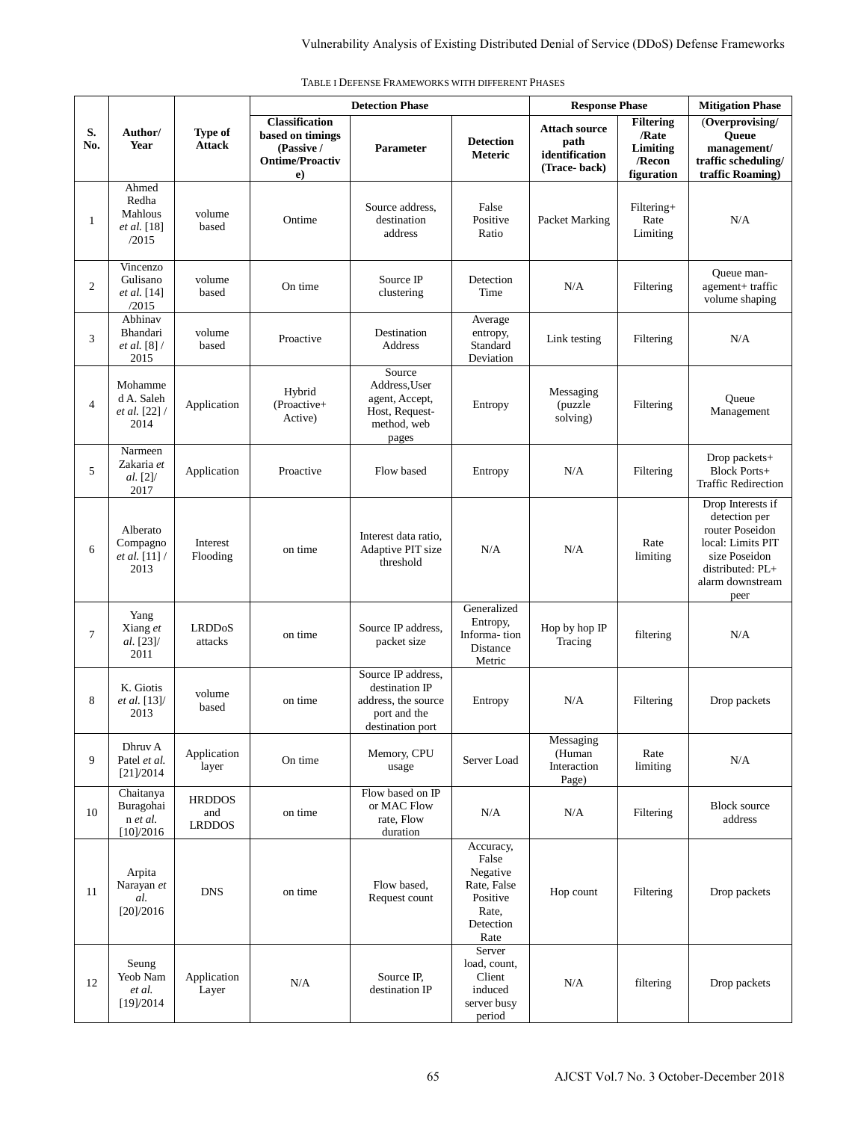|                |                                                        |                                       | <b>Detection Phase</b>                                                                        |                                                                                                 |                                                                                         | <b>Response Phase</b>                                          |                                                               | <b>Mitigation Phase</b>                                                                                                                     |
|----------------|--------------------------------------------------------|---------------------------------------|-----------------------------------------------------------------------------------------------|-------------------------------------------------------------------------------------------------|-----------------------------------------------------------------------------------------|----------------------------------------------------------------|---------------------------------------------------------------|---------------------------------------------------------------------------------------------------------------------------------------------|
| S.<br>No.      | Author/<br><b>Year</b>                                 | Type of<br><b>Attack</b>              | <b>Classification</b><br>based on timings<br>(Passive /<br><b>Ontime/Proactiv</b><br>$\bf e)$ | Parameter                                                                                       | <b>Detection</b><br>Meteric                                                             | <b>Attach source</b><br>path<br>identification<br>(Trace-back) | <b>Filtering</b><br>/Rate<br>Limiting<br>/Recon<br>figuration | (Overprovising/<br>Queue<br>management/<br>traffic scheduling/<br>traffic Roaming)                                                          |
| $\mathbf{1}$   | Ahmed<br>Redha<br>Mahlous<br>et al. [18]<br>/2015      | volume<br>based                       | Ontime                                                                                        | Source address,<br>destination<br>address                                                       | False<br>Positive<br>Ratio                                                              | Packet Marking                                                 | Filtering+<br>Rate<br>Limiting                                | N/A                                                                                                                                         |
| $\overline{2}$ | Vincenzo<br>Gulisano<br>et al. [14]<br>/2015           | volume<br>based                       | On time                                                                                       | Source IP<br>clustering                                                                         | Detection<br>Time                                                                       | N/A                                                            | Filtering                                                     | Queue man-<br>agement+ traffic<br>volume shaping                                                                                            |
| 3              | Abhinav<br>Bhandari<br>et al. [8] /<br>2015            | volume<br>based                       | Proactive                                                                                     | Destination<br>Address                                                                          | Average<br>entropy,<br>Standard<br>Deviation                                            | Link testing                                                   | Filtering                                                     | N/A                                                                                                                                         |
| $\overline{4}$ | Mohamme<br>d A. Saleh<br>et al. [22] /<br>2014         | Application                           | Hybrid<br>(Proactive+<br>Active)                                                              | Source<br>Address, User<br>agent, Accept,<br>Host, Request-<br>method, web<br>pages             | Entropy                                                                                 | Messaging<br>(puzzle<br>solving)                               | Filtering                                                     | Queue<br>Management                                                                                                                         |
| 5              | Narmeen<br>Zakaria et<br>al. [2]<br>2017               | Application                           | Proactive                                                                                     | Flow based                                                                                      | Entropy                                                                                 | N/A                                                            | Filtering                                                     | Drop packets+<br><b>Block Ports+</b><br><b>Traffic Redirection</b>                                                                          |
| 6              | Alberato<br>Compagno<br><i>et al.</i> $[11]$ /<br>2013 | Interest<br>Flooding                  | on time                                                                                       | Interest data ratio,<br>Adaptive PIT size<br>threshold                                          | N/A                                                                                     | N/A                                                            | Rate<br>limiting                                              | Drop Interests if<br>detection per<br>router Poseidon<br>local: Limits PIT<br>size Poseidon<br>distributed: PL+<br>alarm downstream<br>peer |
| $\overline{7}$ | Yang<br>Xiang et<br>al. [23]/<br>2011                  | <b>LRDDoS</b><br>attacks              | on time                                                                                       | Source IP address,<br>packet size                                                               | Generalized<br>Entropy,<br>Informa-tion<br>Distance<br>Metric                           | Hop by hop IP<br>Tracing                                       | filtering                                                     | N/A                                                                                                                                         |
| 8              | K. Giotis<br>et al. [13]/<br>2013                      | volume<br>based                       | on time                                                                                       | Source IP address,<br>destination IP<br>address, the source<br>port and the<br>destination port | Entropy                                                                                 | N/A                                                            | Filtering                                                     | Drop packets                                                                                                                                |
| 9              | Dhruv A<br>Patel et al.<br>[21]/2014                   | Application<br>layer                  | On time                                                                                       | Memory, CPU<br>usage                                                                            | Server Load                                                                             | Messaging<br>(Human<br>Interaction<br>Page)                    | Rate<br>limiting                                              | N/A                                                                                                                                         |
| 10             | Chaitanya<br>Buragohai<br>n et al.<br>[10]/2016        | <b>HRDDOS</b><br>and<br><b>LRDDOS</b> | on time                                                                                       | Flow based on IP<br>or MAC Flow<br>rate, Flow<br>duration                                       | N/A                                                                                     | N/A                                                            | Filtering                                                     | <b>Block source</b><br>address                                                                                                              |
| 11             | Arpita<br>Narayan et<br>al.<br>[20]/2016               | <b>DNS</b>                            | on time                                                                                       | Flow based,<br>Request count                                                                    | Accuracy,<br>False<br>Negative<br>Rate, False<br>Positive<br>Rate,<br>Detection<br>Rate | Hop count                                                      | Filtering                                                     | Drop packets                                                                                                                                |
| 12             | Seung<br>Yeob Nam<br>et al.<br>[19]/2014               | Application<br>Layer                  | N/A                                                                                           | Source IP,<br>destination IP                                                                    | Server<br>load, count,<br>Client<br>induced<br>server busy<br>period                    | N/A                                                            | filtering                                                     | Drop packets                                                                                                                                |

TABLE I DEFENSE FRAMEWORKS WITH DIFFERENT PHASES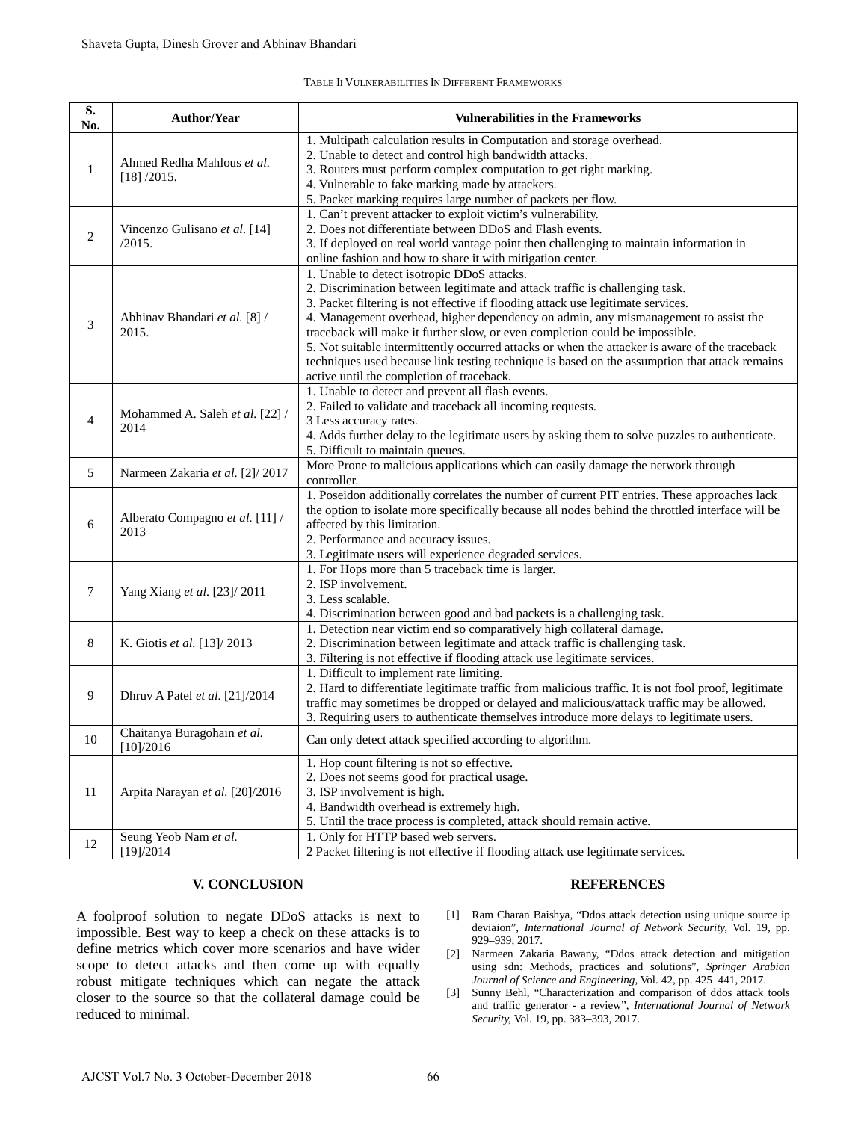### TABLE II VULNERABILITIES IN DIFFERENT FRAMEWORKS

| S.<br>No.      | Author/Year                                                                                                                                                                                                                                                                                                                                                                                | <b>Vulnerabilities in the Frameworks</b>                                                                                                                                                                                                                                                                                                                                                                                                                                                                                                                                                                                               |  |  |  |
|----------------|--------------------------------------------------------------------------------------------------------------------------------------------------------------------------------------------------------------------------------------------------------------------------------------------------------------------------------------------------------------------------------------------|----------------------------------------------------------------------------------------------------------------------------------------------------------------------------------------------------------------------------------------------------------------------------------------------------------------------------------------------------------------------------------------------------------------------------------------------------------------------------------------------------------------------------------------------------------------------------------------------------------------------------------------|--|--|--|
| $\mathbf{1}$   | Ahmed Redha Mahlous et al.<br>[18] / 2015.                                                                                                                                                                                                                                                                                                                                                 | 1. Multipath calculation results in Computation and storage overhead.<br>2. Unable to detect and control high bandwidth attacks.<br>3. Routers must perform complex computation to get right marking.<br>4. Vulnerable to fake marking made by attackers.<br>5. Packet marking requires large number of packets per flow.                                                                                                                                                                                                                                                                                                              |  |  |  |
| $\overline{c}$ | Vincenzo Gulisano et al. [14]<br>/2015.                                                                                                                                                                                                                                                                                                                                                    | 1. Can't prevent attacker to exploit victim's vulnerability.<br>2. Does not differentiate between DDoS and Flash events.<br>3. If deployed on real world vantage point then challenging to maintain information in<br>online fashion and how to share it with mitigation center.                                                                                                                                                                                                                                                                                                                                                       |  |  |  |
| 3              | Abhinav Bhandari et al. [8] /<br>2015.                                                                                                                                                                                                                                                                                                                                                     | 1. Unable to detect isotropic DDoS attacks.<br>2. Discrimination between legitimate and attack traffic is challenging task.<br>3. Packet filtering is not effective if flooding attack use legitimate services.<br>4. Management overhead, higher dependency on admin, any mismanagement to assist the<br>traceback will make it further slow, or even completion could be impossible.<br>5. Not suitable intermittently occurred attacks or when the attacker is aware of the traceback<br>techniques used because link testing technique is based on the assumption that attack remains<br>active until the completion of traceback. |  |  |  |
| $\overline{4}$ | Mohammed A. Saleh et al. [22] /<br>2014                                                                                                                                                                                                                                                                                                                                                    | 1. Unable to detect and prevent all flash events.<br>2. Failed to validate and traceback all incoming requests.<br>3 Less accuracy rates.<br>4. Adds further delay to the legitimate users by asking them to solve puzzles to authenticate.<br>5. Difficult to maintain queues.                                                                                                                                                                                                                                                                                                                                                        |  |  |  |
| 5              | Narmeen Zakaria et al. [2]/ 2017                                                                                                                                                                                                                                                                                                                                                           | More Prone to malicious applications which can easily damage the network through<br>controller.                                                                                                                                                                                                                                                                                                                                                                                                                                                                                                                                        |  |  |  |
| 6              | Alberato Compagno et al. [11] /<br>2013                                                                                                                                                                                                                                                                                                                                                    | 1. Poseidon additionally correlates the number of current PIT entries. These approaches lack<br>the option to isolate more specifically because all nodes behind the throttled interface will be<br>affected by this limitation.<br>2. Performance and accuracy issues.<br>3. Legitimate users will experience degraded services.                                                                                                                                                                                                                                                                                                      |  |  |  |
| 7              | Yang Xiang et al. [23]/2011                                                                                                                                                                                                                                                                                                                                                                | 1. For Hops more than 5 traceback time is larger.<br>2. ISP involvement.<br>3. Less scalable.<br>4. Discrimination between good and bad packets is a challenging task.                                                                                                                                                                                                                                                                                                                                                                                                                                                                 |  |  |  |
| 8              | K. Giotis et al. [13]/ 2013                                                                                                                                                                                                                                                                                                                                                                | 1. Detection near victim end so comparatively high collateral damage.<br>2. Discrimination between legitimate and attack traffic is challenging task.<br>3. Filtering is not effective if flooding attack use legitimate services.                                                                                                                                                                                                                                                                                                                                                                                                     |  |  |  |
| 9              | Dhruv A Patel et al. [21]/2014                                                                                                                                                                                                                                                                                                                                                             | 1. Difficult to implement rate limiting.<br>2. Hard to differentiate legitimate traffic from malicious traffic. It is not fool proof, legitimate<br>traffic may sometimes be dropped or delayed and malicious/attack traffic may be allowed.<br>3. Requiring users to authenticate themselves introduce more delays to legitimate users.                                                                                                                                                                                                                                                                                               |  |  |  |
| $10\,$         | Chaitanya Buragohain et al.<br>[10]/2016                                                                                                                                                                                                                                                                                                                                                   | Can only detect attack specified according to algorithm.                                                                                                                                                                                                                                                                                                                                                                                                                                                                                                                                                                               |  |  |  |
| 11             | Arpita Narayan et al. [20]/2016                                                                                                                                                                                                                                                                                                                                                            | 1. Hop count filtering is not so effective.<br>2. Does not seems good for practical usage.<br>3. ISP involvement is high.<br>4. Bandwidth overhead is extremely high.<br>5. Until the trace process is completed, attack should remain active.                                                                                                                                                                                                                                                                                                                                                                                         |  |  |  |
| 12             | Seung Yeob Nam et al.<br>1. Only for HTTP based web servers.<br>[19]/2014<br>2 Packet filtering is not effective if flooding attack use legitimate services.                                                                                                                                                                                                                               |                                                                                                                                                                                                                                                                                                                                                                                                                                                                                                                                                                                                                                        |  |  |  |
|                | <b>V. CONCLUSION</b>                                                                                                                                                                                                                                                                                                                                                                       | <b>REFERENCES</b>                                                                                                                                                                                                                                                                                                                                                                                                                                                                                                                                                                                                                      |  |  |  |
|                | A foolproof solution to negate DDoS attacks is next to<br>impossible. Best way to keep a check on these attacks is to<br>define metrics which cover more scenarios and have wider<br>scope to detect attacks and then come up with equally<br>robust mitigate techniques which can negate the attack<br>closer to the source so that the collateral damage could be<br>reduced to minimal. | [1] Ram Charan Baishya, "Ddos attack detection using unique source ip<br>deviaion", <i>International Journal of Network Security</i> , Vol. 19, pp.<br>929-939, 2017.<br>[2] Narmeen Zakaria Bawany, "Ddos attack detection and mitigation<br>using sdn: Methods, practices and solutions", Springer Arabian<br>Journal of Science and Engineering, Vol. 42, pp. 425-441, 2017.<br>Sunny Behl, "Characterization and comparison of ddos attack tools<br>$\left[3\right]$<br>and traffic generator - a review", International Journal of Network<br>Security, Vol. 19, pp. 383-393, 2017.                                               |  |  |  |
|                |                                                                                                                                                                                                                                                                                                                                                                                            |                                                                                                                                                                                                                                                                                                                                                                                                                                                                                                                                                                                                                                        |  |  |  |

# **V. CONCLUSION**

## **REFERENCES**

- [1] Ram Charan Baishya, "Ddos attack detection using unique source ip deviaion", *International Journal of Network Security,* Vol. 19, pp. 929–939, 2017.
- [2] Narmeen Zakaria Bawany, "Ddos attack detection and mitigation using sdn: Methods, practices and solutions", *Springer Arabian Journal of Science and Engineering,* Vol. 42, pp. 425–441, 2017.
- [3] Sunny Behl, "Characterization and comparison of ddos attack tools and traffic generator - a review", *International Journal of Network Security,* Vol. 19, pp. 383–393, 2017.